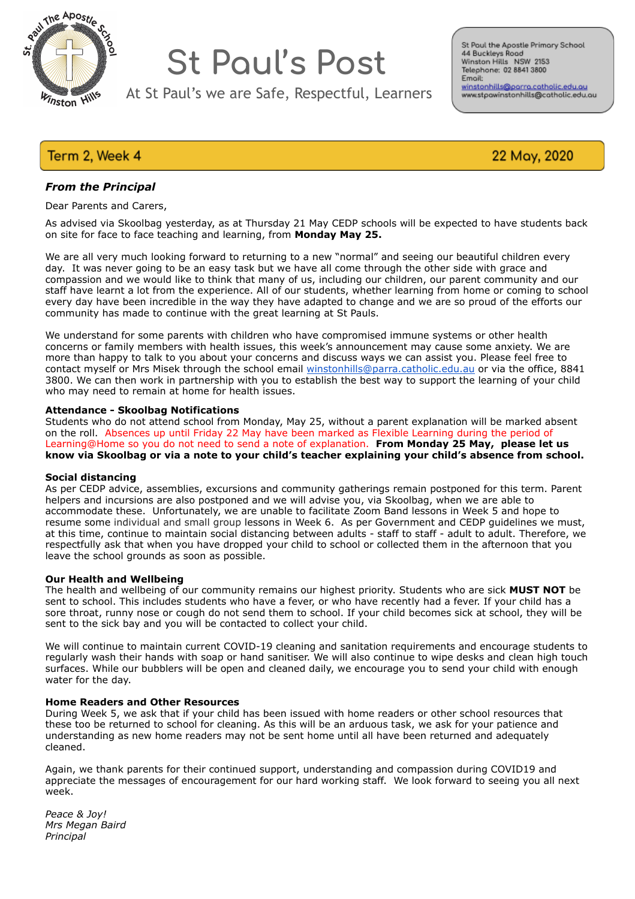

# **St Paul's Post**

At St Paul's we are Safe, Respectful, Learners

St Paul the Apostle Primary School 44 Buckleys Road 44 Buckleys Road<br>Winston Hills NSW 2153<br>Telephone: 02 8841 3800 Emoil: winstonhills@parra.catholic.edu.au<br>www.stpawinstonhills@catholic.edu.au

## Term 2, Week 4

22 May, 2020

## *From the Principal*

Dear Parents and Carers,

As advised via Skoolbag yesterday, as at Thursday 21 May CEDP schools will be expected to have students back on site for face to face teaching and learning, from **Monday May 25.** 

We are all very much looking forward to returning to a new "normal" and seeing our beautiful children every day. It was never going to be an easy task but we have all come through the other side with grace and compassion and we would like to think that many of us, including our children, our parent community and our staff have learnt a lot from the experience. All of our students, whether learning from home or coming to school every day have been incredible in the way they have adapted to change and we are so proud of the efforts our community has made to continue with the great learning at St Pauls.

We understand for some parents with children who have compromised immune systems or other health concerns or family members with health issues, this week's announcement may cause some anxiety. We are more than happy to talk to you about your concerns and discuss ways we can assist you. Please feel free to contact myself or Mrs Misek through the school email [winstonhills@parra.catholic.edu.au](mailto:winstonhills@parra.catholic.edu.au) or via the office, 8841 3800. We can then work in partnership with you to establish the best way to support the learning of your child who may need to remain at home for health issues.

#### **Attendance - Skoolbag Notifications**

Students who do not attend school from Monday, May 25, without a parent explanation will be marked absent on the roll. Absences up until Friday 22 May have been marked as Flexible Learning during the period of Learning@Home so you do not need to send a note of explanation. **From Monday 25 May, please let us know via Skoolbag or via a note to your child's teacher explaining your child's absence from school.** 

#### **Social distancing**

As per CEDP advice, assemblies, excursions and community gatherings remain postponed for this term. Parent helpers and incursions are also postponed and we will advise you, via Skoolbag, when we are able to accommodate these. Unfortunately, we are unable to facilitate Zoom Band lessons in Week 5 and hope to resume some individual and small group lessons in Week 6. As per Government and CEDP guidelines we must, at this time, continue to maintain social distancing between adults - staff to staff - adult to adult. Therefore, we respectfully ask that when you have dropped your child to school or collected them in the afternoon that you leave the school grounds as soon as possible.

#### **Our Health and Wellbeing**

The health and wellbeing of our community remains our highest priority. Students who are sick **MUST NOT** be sent to school. This includes students who have a fever, or who have recently had a fever. If your child has a sore throat, runny nose or cough do not send them to school. If your child becomes sick at school, they will be sent to the sick bay and you will be contacted to collect your child.

We will continue to maintain current COVID-19 cleaning and sanitation requirements and encourage students to regularly wash their hands with soap or hand sanitiser. We will also continue to wipe desks and clean high touch surfaces. While our bubblers will be open and cleaned daily, we encourage you to send your child with enough water for the day.

#### **Home Readers and Other Resources**

During Week 5, we ask that if your child has been issued with home readers or other school resources that these too be returned to school for cleaning. As this will be an arduous task, we ask for your patience and understanding as new home readers may not be sent home until all have been returned and adequately cleaned.

Again, we thank parents for their continued support, understanding and compassion during COVID19 and appreciate the messages of encouragement for our hard working staff. We look forward to seeing you all next week.

*Peace & Joy! Mrs Megan Baird Principal*